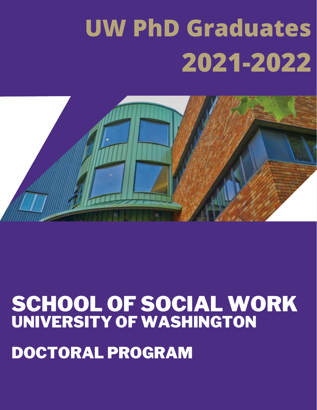# **UW PhD Graduates 2021-2022**



# SCHOOL OF SOCIAL WORK UNIVERSITY OF WASHINGTON DOCTORAL PROGRAM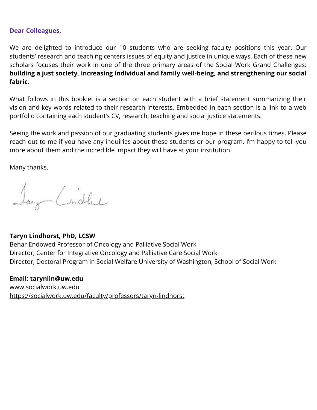#### **Dear Colleagues,**

We are delighted to introduce our 10 students who are seeking faculty positions this year. Our students' research and teaching centers issues of equity and justice in unique ways. Each of these new scholars focuses their work in one of the three primary areas of the Social Work Grand Challenges: **building a just society, increasing individual and family well-being, and strengthening our social fabric.**

What follows in this booklet is a section on each student with a brief statement summarizing their vision and key words related to their research interests. Embedded in each section is a link to a web portfolio containing each student's CV, research, teaching and social justice statements.

Seeing the work and passion of our graduating students gives me hope in these perilous times. Please reach out to me if you have any inquiries about these students or our program. I'm happy to tell you more about them and the incredible impact they will have at your institution.

Many thanks,

Jany Cindhel

#### **Taryn Lindhorst, PhD, LCSW**

Behar Endowed Professor of Oncology and Palliative Social Work Director, Center for Integrative Oncology and Palliative Care Social Work Director, Doctoral Program in Social Welfare University of Washington, School of Social Work

**Email: tarynlin@uw.edu** [www.socialwork.uw.edu](http://www.socialwork.uw.edu/) <https://socialwork.uw.edu/faculty/professors/taryn-lindhorst>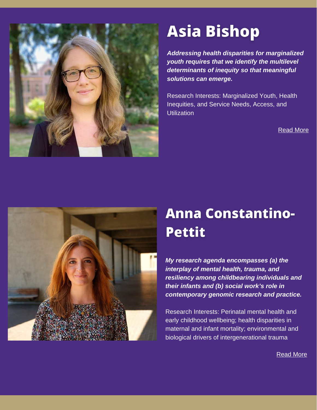

### **Asia Bishop**

*Addressing health disparities for marginalized youth requires that we identify the multilevel determinants of inequity so that meaningful solutions can emerge.*

Research Interests: Marginalized Youth, Health Inequities, and Service Needs, Access, and **Utilization** 

[Read More](https://socialwork.uw.edu/asia-bishop)



#### **Anna Constantino-Pettit**

*My research agenda encompasses (a) the interplay of mental health, trauma, and resiliency among childbearing individuals and their infants and (b) social work's role in contemporary genomic research and practice.*

Research Interests: Perinatal mental health and early childhood wellbeing; health disparities in maternal and infant mortality; environmental and biological drivers of intergenerational trauma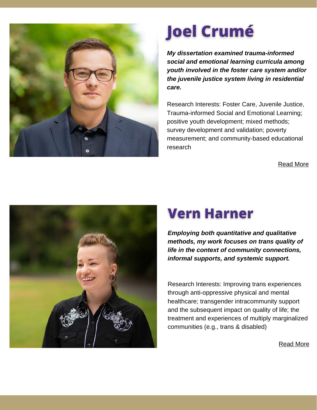

# **Joel Crumé**

*My dissertation examined trauma-informed social and emotional learning curricula among youth involved in the foster care system and/or the juvenile justice system living in residential care.*

Research Interests: Foster Care, Juvenile Justice, Trauma-informed Social and Emotional Learning; positive youth development; mixed methods; survey development and validation; poverty measurement; and community-based educational research

[Read More](https://socialwork.uw.edu/joel-crum%C3%A9)



### **Vern Harner**

*Employing both quantitative and qualitative methods, my work focuses on trans quality of life in the context of community connections, informal supports, and systemic support.*

Research Interests: Improving trans experiences through anti-oppressive physical and mental healthcare; transgender intracommunity support and the subsequent impact on quality of life; the treatment and experiences of multiply marginalized communities (e.g., trans & disabled)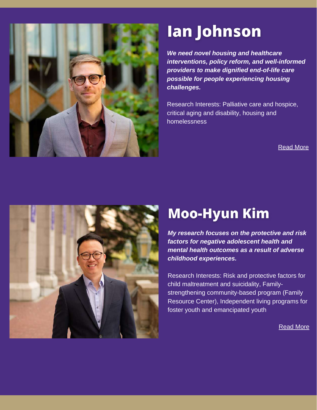

### lan Johnson

*We need novel housing and healthcare interventions, policy reform, and well-informed providers to make dignified end-of-life care possible for people experiencing housing challenges.*

Research Interests: Palliative care and hospice, critical aging and disability, housing and homelessness

#### [Read More](https://socialwork.uw.edu/ian-m-johnson)



#### **Moo-Hyun Kim**

*My research focuses on the protective and risk factors for negative adolescent health and mental health outcomes as a result of adverse childhood experiences.*

Research Interests: Risk and protective factors for child maltreatment and suicidality, Familystrengthening community-based program (Family Resource Center), Independent living programs for foster youth and emancipated youth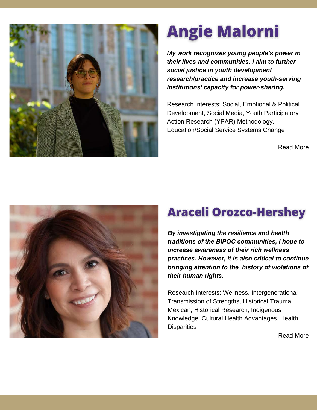

## **Angie Malorni**

*My work recognizes young people's power in their lives and communities. I aim to further social justice in youth development research/practice and increase youth-serving institutions' capacity for power-sharing.*

Research Interests: Social, Emotional & Political Development, Social Media, Youth Participatory Action Research (YPAR) Methodology, Education/Social Service Systems Change

[Read More](http://angiemalorni.com/)



#### **Araceli Orozco-Hershey**

*By investigating the resilience and health traditions of the BIPOC communities, I hope to increase awareness of their rich wellness practices. However, it is also critical to continue bringing attention to the history of violations of their human rights.*

Research Interests: Wellness, Intergenerational Transmission of Strengths, Historical Trauma, Mexican, Historical Research, Indigenous Knowledge, Cultural Health Advantages, Health **Disparities**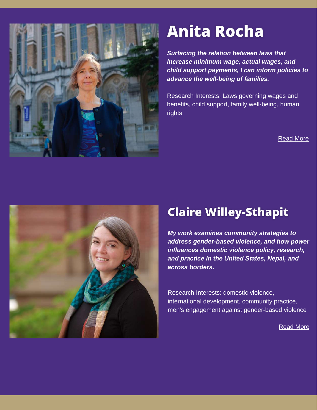

### **Anita Rocha**

*Surfacing the relation between laws that increase minimum wage, actual wages, and child support payments, I can inform policies to advance the well-being of families.*

Research Interests: Laws governing wages and benefits, child support, family well-being, human rights

[Read More](https://socialwork.uw.edu/anita-l-rocha)



#### **Claire Willey-Sthapit**

*My work examines community strategies to address gender-based violence, and how power influences domestic violence policy, research, and practice in the United States, Nepal, and across borders.*

Research Interests: domestic violence, international development, community practice, men's engagement against gender-based violence